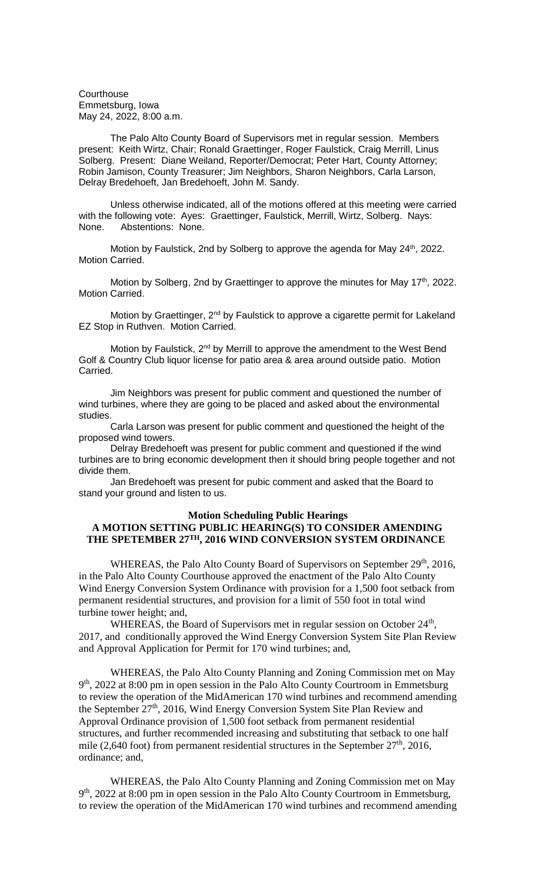**Courthouse** Emmetsburg, Iowa May 24, 2022, 8:00 a.m.

The Palo Alto County Board of Supervisors met in regular session. Members present: Keith Wirtz, Chair; Ronald Graettinger, Roger Faulstick, Craig Merrill, Linus Solberg. Present: Diane Weiland, Reporter/Democrat; Peter Hart, County Attorney; Robin Jamison, County Treasurer; Jim Neighbors, Sharon Neighbors, Carla Larson, Delray Bredehoeft, Jan Bredehoeft, John M. Sandy.

Unless otherwise indicated, all of the motions offered at this meeting were carried with the following vote: Ayes: Graettinger, Faulstick, Merrill, Wirtz, Solberg. Nays: None. Abstentions: None.

Motion by Faulstick, 2nd by Solberg to approve the agenda for May 24<sup>th</sup>, 2022. Motion Carried.

Motion by Solberg, 2nd by Graettinger to approve the minutes for May 17<sup>th</sup>, 2022. Motion Carried.

Motion by Graettinger, 2<sup>nd</sup> by Faulstick to approve a cigarette permit for Lakeland EZ Stop in Ruthven. Motion Carried.

Motion by Faulstick, 2<sup>nd</sup> by Merrill to approve the amendment to the West Bend Golf & Country Club liquor license for patio area & area around outside patio. Motion Carried.

Jim Neighbors was present for public comment and questioned the number of wind turbines, where they are going to be placed and asked about the environmental studies.

Carla Larson was present for public comment and questioned the height of the proposed wind towers.

Delray Bredehoeft was present for public comment and questioned if the wind turbines are to bring economic development then it should bring people together and not divide them.

Jan Bredehoeft was present for pubic comment and asked that the Board to stand your ground and listen to us.

## **Motion Scheduling Public Hearings**

## **A MOTION SETTING PUBLIC HEARING(S) TO CONSIDER AMENDING THE SPETEMBER 27TH, 2016 WIND CONVERSION SYSTEM ORDINANCE**

WHEREAS, the Palo Alto County Board of Supervisors on September 29<sup>th</sup>, 2016, in the Palo Alto County Courthouse approved the enactment of the Palo Alto County Wind Energy Conversion System Ordinance with provision for a 1,500 foot setback from permanent residential structures, and provision for a limit of 550 foot in total wind turbine tower height; and,

WHEREAS, the Board of Supervisors met in regular session on October  $24<sup>th</sup>$ , 2017, and conditionally approved the Wind Energy Conversion System Site Plan Review and Approval Application for Permit for 170 wind turbines; and,

WHEREAS, the Palo Alto County Planning and Zoning Commission met on May 9<sup>th</sup>, 2022 at 8:00 pm in open session in the Palo Alto County Courtroom in Emmetsburg to review the operation of the MidAmerican 170 wind turbines and recommend amending the September 27<sup>th</sup>, 2016, Wind Energy Conversion System Site Plan Review and Approval Ordinance provision of 1,500 foot setback from permanent residential structures, and further recommended increasing and substituting that setback to one half mile (2,640 foot) from permanent residential structures in the September  $27<sup>th</sup>$ , 2016, ordinance; and,

WHEREAS, the Palo Alto County Planning and Zoning Commission met on May 9<sup>th</sup>, 2022 at 8:00 pm in open session in the Palo Alto County Courtroom in Emmetsburg, to review the operation of the MidAmerican 170 wind turbines and recommend amending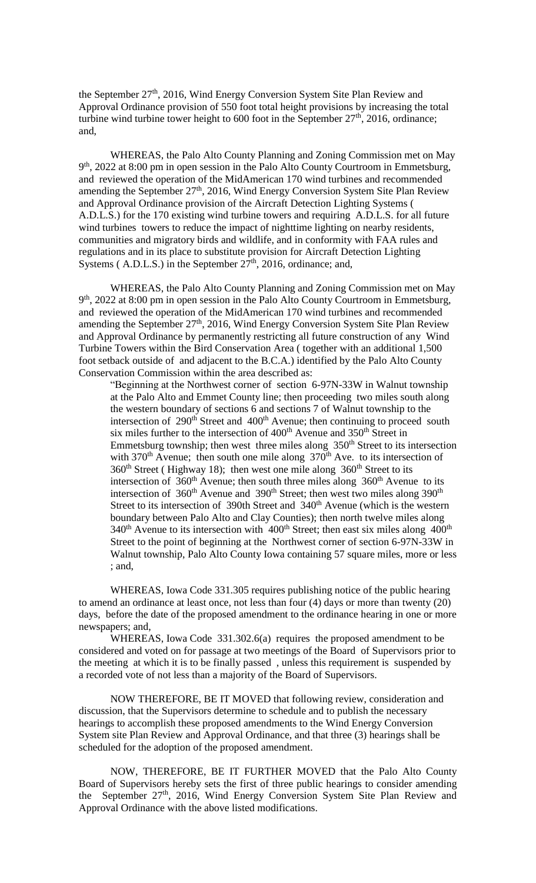the September 27<sup>th</sup>, 2016, Wind Energy Conversion System Site Plan Review and Approval Ordinance provision of 550 foot total height provisions by increasing the total turbine wind turbine tower height to 600 foot in the September  $27<sup>th</sup>$ , 2016, ordinance; and,

WHEREAS, the Palo Alto County Planning and Zoning Commission met on May 9<sup>th</sup>, 2022 at 8:00 pm in open session in the Palo Alto County Courtroom in Emmetsburg, and reviewed the operation of the MidAmerican 170 wind turbines and recommended amending the September 27<sup>th</sup>, 2016, Wind Energy Conversion System Site Plan Review and Approval Ordinance provision of the Aircraft Detection Lighting Systems ( A.D.L.S.) for the 170 existing wind turbine towers and requiring A.D.L.S. for all future wind turbines towers to reduce the impact of nighttime lighting on nearby residents, communities and migratory birds and wildlife, and in conformity with FAA rules and regulations and in its place to substitute provision for Aircraft Detection Lighting Systems (A.D.L.S.) in the September  $27<sup>th</sup>$ , 2016, ordinance; and,

WHEREAS, the Palo Alto County Planning and Zoning Commission met on May 9<sup>th</sup>, 2022 at 8:00 pm in open session in the Palo Alto County Courtroom in Emmetsburg, and reviewed the operation of the MidAmerican 170 wind turbines and recommended amending the September 27<sup>th</sup>, 2016, Wind Energy Conversion System Site Plan Review and Approval Ordinance by permanently restricting all future construction of any Wind Turbine Towers within the Bird Conservation Area ( together with an additional 1,500 foot setback outside of and adjacent to the B.C.A.) identified by the Palo Alto County Conservation Commission within the area described as:

"Beginning at the Northwest corner of section 6-97N-33W in Walnut township at the Palo Alto and Emmet County line; then proceeding two miles south along the western boundary of sections 6 and sections 7 of Walnut township to the intersection of  $290<sup>th</sup>$  Street and  $400<sup>th</sup>$  Avenue; then continuing to proceed south six miles further to the intersection of  $400<sup>th</sup>$  Avenue and  $350<sup>th</sup>$  Street in Emmetsburg township; then west three miles along  $350<sup>th</sup>$  Street to its intersection with  $370<sup>th</sup>$  Avenue; then south one mile along  $370<sup>th</sup>$  Ave. to its intersection of  $360<sup>th</sup>$  Street (Highway 18); then west one mile along  $360<sup>th</sup>$  Street to its intersection of  $360<sup>th</sup>$  Avenue; then south three miles along  $360<sup>th</sup>$  Avenue to its intersection of 360<sup>th</sup> Avenue and 390<sup>th</sup> Street; then west two miles along 390<sup>th</sup> Street to its intersection of 390th Street and 340<sup>th</sup> Avenue (which is the western boundary between Palo Alto and Clay Counties); then north twelve miles along  $340<sup>th</sup>$  Avenue to its intersection with  $400<sup>th</sup>$  Street; then east six miles along  $400<sup>th</sup>$ Street to the point of beginning at the Northwest corner of section 6-97N-33W in Walnut township, Palo Alto County Iowa containing 57 square miles, more or less ; and,

WHEREAS, Iowa Code 331.305 requires publishing notice of the public hearing to amend an ordinance at least once, not less than four (4) days or more than twenty (20) days, before the date of the proposed amendment to the ordinance hearing in one or more newspapers; and,

WHEREAS, Iowa Code 331.302.6(a) requires the proposed amendment to be considered and voted on for passage at two meetings of the Board of Supervisors prior to the meeting at which it is to be finally passed , unless this requirement is suspended by a recorded vote of not less than a majority of the Board of Supervisors.

NOW THEREFORE, BE IT MOVED that following review, consideration and discussion, that the Supervisors determine to schedule and to publish the necessary hearings to accomplish these proposed amendments to the Wind Energy Conversion System site Plan Review and Approval Ordinance, and that three (3) hearings shall be scheduled for the adoption of the proposed amendment.

NOW, THEREFORE, BE IT FURTHER MOVED that the Palo Alto County Board of Supervisors hereby sets the first of three public hearings to consider amending the September 27<sup>th</sup>, 2016, Wind Energy Conversion System Site Plan Review and Approval Ordinance with the above listed modifications.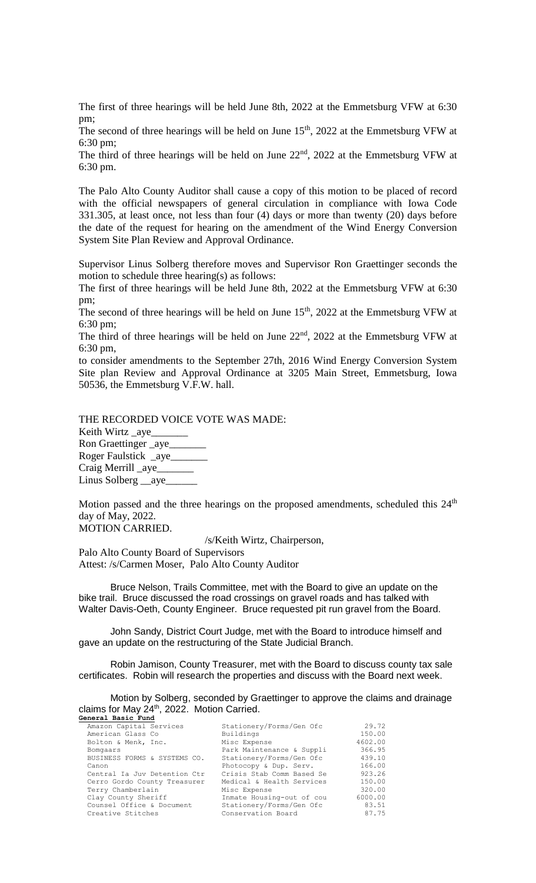The first of three hearings will be held June 8th, 2022 at the Emmetsburg VFW at 6:30 pm;

The second of three hearings will be held on June  $15<sup>th</sup>$ , 2022 at the Emmetsburg VFW at 6:30 pm;

The third of three hearings will be held on June  $22<sup>nd</sup>$ ,  $2022$  at the Emmetsburg VFW at 6:30 pm.

The Palo Alto County Auditor shall cause a copy of this motion to be placed of record with the official newspapers of general circulation in compliance with Iowa Code 331.305, at least once, not less than four (4) days or more than twenty (20) days before the date of the request for hearing on the amendment of the Wind Energy Conversion System Site Plan Review and Approval Ordinance.

Supervisor Linus Solberg therefore moves and Supervisor Ron Graettinger seconds the motion to schedule three hearing(s) as follows:

The first of three hearings will be held June 8th, 2022 at the Emmetsburg VFW at 6:30 pm;

The second of three hearings will be held on June  $15<sup>th</sup>$ , 2022 at the Emmetsburg VFW at 6:30 pm;

The third of three hearings will be held on June 22nd, 2022 at the Emmetsburg VFW at 6:30 pm,

to consider amendments to the September 27th, 2016 Wind Energy Conversion System Site plan Review and Approval Ordinance at 3205 Main Street, Emmetsburg, Iowa 50536, the Emmetsburg V.F.W. hall.

THE RECORDED VOICE VOTE WAS MADE: Keith Wirtz \_aye\_\_\_\_\_\_\_ Ron Graettinger \_aye\_\_\_\_\_\_\_ Roger Faulstick \_aye\_\_\_\_\_\_\_ Craig Merrill \_aye\_\_\_\_\_\_\_ Linus Solberg \_\_aye\_\_\_\_\_\_

Motion passed and the three hearings on the proposed amendments, scheduled this 24<sup>th</sup> day of May, 2022.

MOTION CARRIED.

/s/Keith Wirtz, Chairperson,

Palo Alto County Board of Supervisors Attest: /s/Carmen Moser, Palo Alto County Auditor

Bruce Nelson, Trails Committee, met with the Board to give an update on the bike trail. Bruce discussed the road crossings on gravel roads and has talked with Walter Davis-Oeth, County Engineer. Bruce requested pit run gravel from the Board.

John Sandy, District Court Judge, met with the Board to introduce himself and gave an update on the restructuring of the State Judicial Branch.

Robin Jamison, County Treasurer, met with the Board to discuss county tax sale certificates. Robin will research the properties and discuss with the Board next week.

Motion by Solberg, seconded by Graettinger to approve the claims and drainage claims for May 24<sup>th</sup>, 2022. Motion Carried. **General Basic Fund**

| Amazon Capital Services      | Stationery/Forms/Gen Ofc  | 29.72   |
|------------------------------|---------------------------|---------|
| American Glass Co            | Buildings                 | 150.00  |
| Bolton & Menk, Inc.          | Misc Expense              | 4602.00 |
| Bomgaars                     | Park Maintenance & Suppli | 366.95  |
| BUSINESS FORMS & SYSTEMS CO. | Stationery/Forms/Gen Ofc  | 439.10  |
| Canon                        | Photocopy & Dup. Serv.    | 166.00  |
| Central Ia Juv Detention Ctr | Crisis Stab Comm Based Se | 923.26  |
| Cerro Gordo County Treasurer | Medical & Health Services | 150.00  |
| Terry Chamberlain            | Misc Expense              | 320.00  |
| Clay County Sheriff          | Inmate Housing-out of cou | 6000.00 |
| Counsel Office & Document    | Stationery/Forms/Gen Ofc  | 83.51   |
| Creative Stitches            | Conservation Board        | 87.75   |
|                              |                           |         |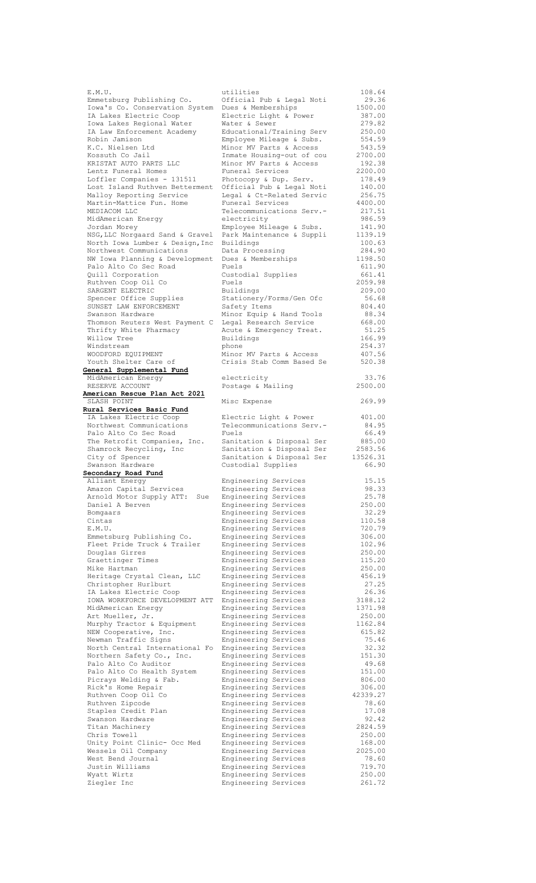| E.M.U.                          | utilities                                    | 108.64           |
|---------------------------------|----------------------------------------------|------------------|
| Emmetsburg Publishing Co.       | Official Pub & Legal Noti                    | 29.36            |
| Iowa's Co. Conservation System  | Dues & Memberships                           | 1500.00          |
| IA Lakes Electric Coop          | Electric Light & Power                       | 387.00           |
| Iowa Lakes Regional Water       | Water & Sewer                                | 279.82           |
| IA Law Enforcement Academy      | Educational/Training Serv                    | 250.00           |
| Robin Jamison                   | Employee Mileage & Subs.                     | 554.59           |
| K.C. Nielsen Ltd                | Minor MV Parts & Access                      | 543.59           |
| Kossuth Co Jail                 | Inmate Housing-out of cou                    | 2700.00          |
| KRISTAT AUTO PARTS LLC          | Minor MV Parts & Access                      | 192.38           |
|                                 |                                              |                  |
| Lentz Funeral Homes             | Funeral Services                             | 2200.00          |
| Loffler Companies - 131511      | Photocopy & Dup. Serv.                       | 178.49           |
| Lost Island Ruthven Betterment  | Official Pub & Legal Noti                    | 140.00           |
| Malloy Reporting Service        | Legal & Ct-Related Servic                    | 256.75           |
| Martin-Mattice Fun. Home        | Funeral Services                             | 4400.00          |
| MEDIACOM LLC                    | Telecommunications Serv.-                    | 217.51           |
| MidAmerican Energy              | electricity                                  | 986.59           |
| Jordan Morey                    | Employee Mileage & Subs.                     | 141.90           |
| NSG, LLC Norgaard Sand & Gravel | Park Maintenance & Suppli                    | 1139.19          |
| North Iowa Lumber & Design, Inc | Buildings                                    | 100.63           |
| Northwest Communications        | Data Processing                              | 284.90           |
| NW Iowa Planning & Development  | Dues & Memberships                           | 1198.50          |
| Palo Alto Co Sec Road           | Fuels                                        | 611.90           |
|                                 |                                              |                  |
| Quill Corporation               | Custodial Supplies                           | 661.41           |
| Ruthven Coop Oil Co             | Fuels                                        | 2059.98          |
| SARGENT ELECTRIC                | Buildings                                    | 209.00           |
| Spencer Office Supplies         | Stationery/Forms/Gen Ofc                     | 56.68            |
| SUNSET LAW ENFORCEMENT          | Safety Items                                 | 804.40           |
| Swanson Hardware                | Minor Equip & Hand Tools                     | 88.34            |
| Thomson Reuters West Payment C  | Legal Research Service                       | 668.00           |
| Thrifty White Pharmacy          | Acute & Emergency Treat.                     | 51.25            |
| Willow Tree                     | Buildings                                    | 166.99           |
| Windstream                      | phone                                        | 254.37           |
|                                 |                                              |                  |
| WOODFORD EQUIPMENT              | Minor MV Parts & Access                      | 407.56           |
| Youth Shelter Care of           | Crisis Stab Comm Based Se                    | 520.38           |
| General Supplemental Fund       |                                              |                  |
| MidAmerican Energy              | electricity                                  | 33.76            |
| RESERVE ACCOUNT                 | Postage & Mailing                            | 2500.00          |
| American Rescue Plan Act 2021   |                                              |                  |
| SLASH POINT                     | Misc Expense                                 | 269.99           |
| Rural Services Basic Fund       |                                              |                  |
| IA Lakes Electric Coop          |                                              | 401.00           |
|                                 | Electric Light & Power                       |                  |
| Northwest Communications        | Telecommunications Serv.-                    | 84.95            |
| Palo Alto Co Sec Road           | Fuels                                        | 66.49            |
|                                 |                                              |                  |
| The Retrofit Companies, Inc.    | Sanitation & Disposal Ser                    | 885.00           |
| Shamrock Recycling, Inc         | Sanitation & Disposal Ser                    | 2583.56          |
| City of Spencer                 | Sanitation & Disposal Ser                    | 13526.31         |
| Swanson Hardware                | Custodial Supplies                           | 66.90            |
| Secondary Road Fund             |                                              |                  |
| Alliant Energy                  | Engineering Services                         | 15.15            |
| Amazon Capital Services         | Engineering Services                         | 98.33            |
| Arnold Motor Supply ATT:<br>Sue | Engineering Services                         | 25.78            |
| Daniel A Berven                 | Engineering Services                         | 250.00           |
| Bomgaars                        | Engineering Services                         | 32.29            |
| Cintas                          | Engineering Services                         | 110.58           |
| E.M.U.                          | Engineering Services                         | 720.79           |
| Emmetsburg Publishing Co.       | Engineering Services                         | 306.00           |
| Fleet Pride Truck & Trailer     | Engineering Services                         | 102.96           |
|                                 |                                              |                  |
| Douglas Girres                  | Engineering Services                         | 250.00           |
| Graettinger Times               | Engineering Services                         | 115.20           |
| Mike Hartman                    | Engineering Services                         | 250.00           |
| Heritage Crystal Clean, LLC     | Engineering Services                         | 456.19           |
| Christopher Hurlburt            | Engineering Services                         | 27.25            |
| IA Lakes Electric Coop          | Engineering Services                         | 26.36            |
| IOWA WORKFORCE DEVELOPMENT ATT  | Engineering Services                         | 3188.12          |
| MidAmerican Energy              | Engineering Services                         | 1371.98          |
| Art Mueller, Jr.                | Engineering Services                         | 250.00           |
| Murphy Tractor & Equipment      | Engineering Services                         | 1162.84          |
| NEW Cooperative, Inc.           | Engineering Services                         | 615.82           |
| Newman Traffic Signs            | Engineering Services                         | 75.46            |
| North Central International Fo  | Engineering Services                         | 32.32            |
|                                 |                                              | 151.30           |
| Northern Safety Co., Inc.       | Engineering Services                         | 49.68            |
| Palo Alto Co Auditor            | Engineering Services                         |                  |
| Palo Alto Co Health System      | Engineering Services                         | 151.00           |
| Picrays Welding & Fab.          | Engineering Services                         | 806.00           |
| Rick's Home Repair              | Engineering Services                         | 306.00           |
| Ruthven Coop Oil Co             | Engineering Services                         | 42339.27         |
| Ruthven Zipcode                 | Engineering Services                         | 78.60            |
| Staples Credit Plan             | Engineering Services                         | 17.08            |
| Swanson Hardware                | Engineering Services                         | 92.42            |
| Titan Machinery                 | Engineering Services                         | 2824.59          |
| Chris Towell                    |                                              | 250.00           |
| Unity Point Clinic- Occ Med     | Engineering Services<br>Engineering Services | 168.00           |
|                                 |                                              |                  |
| Wessels Oil Company             | Engineering Services                         | 2025.00          |
| West Bend Journal               | Engineering Services                         | 78.60            |
| Justin Williams                 | Engineering Services                         | 719.70           |
| Wyatt Wirtz<br>Ziegler Inc      | Engineering Services<br>Engineering Services | 250.00<br>261.72 |